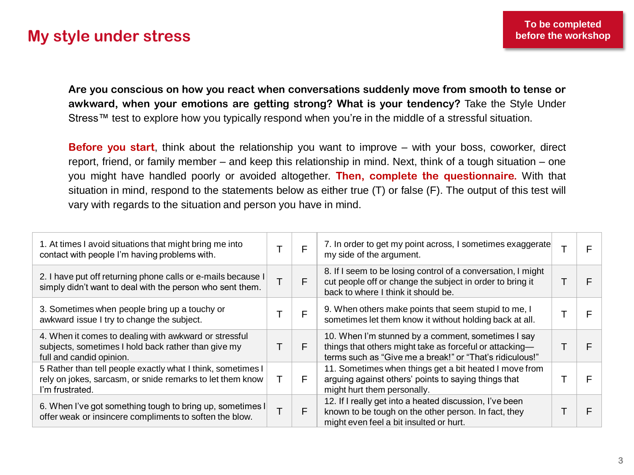## **My style under stress**

**Are you conscious on how you react when conversations suddenly move from smooth to tense or awkward, when your emotions are getting strong? What is your tendency?** Take the Style Under Stress™ test to explore how you typically respond when you're in the middle of a stressful situation.

**Before you start**, think about the relationship you want to improve – with your boss, coworker, direct report, friend, or family member – and keep this relationship in mind. Next, think of a tough situation – one you might have handled poorly or avoided altogether. **Then, complete the questionnaire.** With that situation in mind, respond to the statements below as either true (T) or false (F). The output of this test will vary with regards to the situation and person you have in mind.

| 1. At times I avoid situations that might bring me into<br>contact with people I'm having problems with.                                    |   | F | 7. In order to get my point across, I sometimes exaggerate<br>my side of the argument.                                                                                    |  |
|---------------------------------------------------------------------------------------------------------------------------------------------|---|---|---------------------------------------------------------------------------------------------------------------------------------------------------------------------------|--|
| 2. I have put off returning phone calls or e-mails because I<br>simply didn't want to deal with the person who sent them.                   |   | F | 8. If I seem to be losing control of a conversation, I might<br>cut people off or change the subject in order to bring it<br>back to where I think it should be.          |  |
| 3. Sometimes when people bring up a touchy or<br>awkward issue I try to change the subject.                                                 |   |   | 9. When others make points that seem stupid to me, I<br>sometimes let them know it without holding back at all.                                                           |  |
| 4. When it comes to dealing with awkward or stressful<br>subjects, sometimes I hold back rather than give my<br>full and candid opinion.    |   |   | 10. When I'm stunned by a comment, sometimes I say<br>things that others might take as forceful or attacking-<br>terms such as "Give me a break!" or "That's ridiculous!" |  |
| 5 Rather than tell people exactly what I think, sometimes I<br>rely on jokes, sarcasm, or snide remarks to let them know<br>I'm frustrated. | т | F | 11. Sometimes when things get a bit heated I move from<br>arguing against others' points to saying things that<br>might hurt them personally.                             |  |
| 6. When I've got something tough to bring up, sometimes I<br>offer weak or insincere compliments to soften the blow.                        |   | F | 12. If I really get into a heated discussion, I've been<br>known to be tough on the other person. In fact, they<br>might even feel a bit insulted or hurt.                |  |